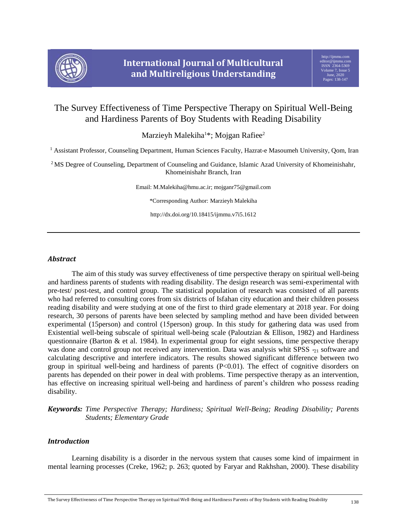

# The Survey Effectiveness of Time Perspective Therapy on Spiritual Well-Being and Hardiness Parents of Boy Students with Reading Disability

Marzieyh Malekiha<sup>1\*</sup>; Mojgan Rafiee<sup>2</sup>

<sup>1</sup> Assistant Professor, Counseling Department, Human Sciences Faculty, Hazrat-e Masoumeh University, Qom, Iran

<sup>2</sup> MS Degree of Counseling, Department of Counseling and Guidance, Islamic Azad University of Khomeinishahr, Khomeinishahr Branch, Iran

Email[: M.Malekiha@hmu.ac.ir;](mailto:M.Malekiha@hmu.ac.ir) mojganr75@gmail.com

\*Corresponding Author: Marzieyh Malekiha

http://dx.doi.org/10.18415/ijmmu.v7i5.1612

# *Abstract*

The aim of this study was survey effectiveness of time perspective therapy on spiritual well-being and hardiness parents of students with reading disability. The design research was semi-experimental with pre-test/ post-test, and control group. The statistical population of research was consisted of all parents who had referred to consulting cores from six districts of Isfahan city education and their children possess reading disability and were studying at one of the first to third grade elementary at 2018 year. For doing research, 30 persons of parents have been selected by sampling method and have been divided between experimental (15person) and control (15person) group. In this study for gathering data was used from Existential well-being subscale of spiritual well-being scale (Paloutzian & Ellison, 1982) and Hardiness questionnaire (Barton  $\&$  et al. 1984). In experimental group for eight sessions, time perspective therapy was done and control group not received any intervention. Data was analysis whit SPSS  $_{21}$  software and calculating descriptive and interfere indicators. The results showed significant difference between two group in spiritual well-being and hardiness of parents  $(P<0.01)$ . The effect of cognitive disorders on parents has depended on their power in deal with problems. Time perspective therapy as an intervention, has effective on increasing spiritual well-being and hardiness of parent's children who possess reading disability.

*Keywords: Time Perspective Therapy; Hardiness; Spiritual Well-Being; Reading Disability; Parents Students; Elementary Grade*

# *Introduction*

Learning disability is a disorder in the nervous system that causes some kind of impairment in mental learning processes (Creke, 1962; p. 263; quoted by Faryar and Rakhshan, 2000). These disability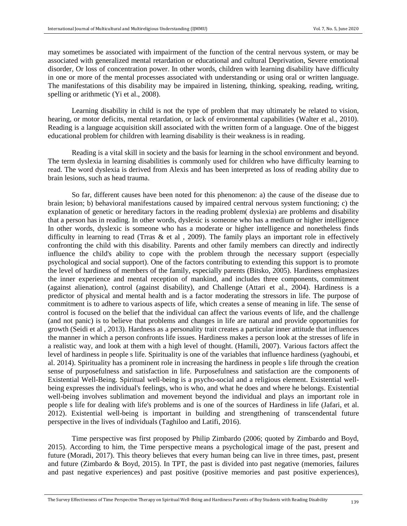may sometimes be associated with impairment of the function of the central nervous system, or may be associated with generalized mental retardation or educational and cultural Deprivation, Severe emotional disorder, Or loss of concentration power. In other words, children with learning disability have difficulty in one or more of the mental processes associated with understanding or using oral or written language. The manifestations of this disability may be impaired in listening, thinking, speaking, reading, writing, spelling or arithmetic (Yi et al., 2008).

Learning disability in child is not the type of problem that may ultimately be related to vision, hearing, or motor deficits, mental retardation, or lack of environmental capabilities (Walter et al., 2010). Reading is a language acquisition skill associated with the written form of a language. One of the biggest educational problem for children with learning disability is their weakness is in reading.

Reading is a vital skill in society and the basis for learning in the school environment and beyond. The term dyslexia in learning disabilities is commonly used for children who have difficulty learning to read. The word dyslexia is derived from Alexis and has been interpreted as loss of reading ability due to brain lesions, such as head trauma.

So far, different causes have been noted for this phenomenon: a) the cause of the disease due to brain lesion; b) behavioral manifestations caused by impaired central nervous system functioning; c) the explanation of genetic or hereditary factors in the reading problem (dyslexia) are problems and disability that a person has in reading. In other words, dyslexic is someone who has a medium or higher intelligence In other words, dyslexic is someone who has a moderate or higher intelligence and nonetheless finds difficulty in learning to read (Trras  $\&$  et al, 2009). The family plays an important role in effectively confronting the child with this disability. Parents and other family members can directly and indirectly influence the child's ability to cope with the problem through the necessary support (especially psychological and social support). One of the factors contributing to extending this support is to promote the level of hardiness of members of the family, especially parents (Bitsko, 2005). Hardiness emphasizes the inner experience and mental reception of mankind, and includes three components, commitment (against alienation), control (against disability), and Challenge (Attari et al., 2004). Hardiness is a predictor of physical and mental health and is a factor moderating the stressors in life. The purpose of commitment is to adhere to various aspects of life, which creates a sense of meaning in life. The sense of control is focused on the belief that the individual can affect the various events of life, and the challenge (and not panic) is to believe that problems and changes in life are natural and provide opportunities for growth (Seidi et al , 2013). Hardness as a personality trait creates a particular inner attitude that influences the manner in which a person confronts life issues. Hardiness makes a person look at the stresses of life in a realistic way, and look at them with a high level of thought. (Hamili, 2007). Various factors affect the level of hardiness in people s life. Spirituality is one of the variables that influence hardiness (yaghoubi, et al. 2014). Spirituality has a prominent role in increasing the hardiness in people s life through the creation sense of purposefulness and satisfaction in life. Purposefulness and satisfaction are the components of Existential Well-Being. Spiritual well-being is a psycho-social and a religious element. Existential wellbeing expresses the individual's feelings, who is who, and what he does and where he belongs. Existential well-being involves sublimation and movement beyond the individual and plays an important role in people s life for dealing with life's problems and is one of the sources of Hardiness in life (Jafari, et al. 2012). Existential well-being is important in building and strengthening of transcendental future perspective in the lives of individuals (Taghiloo and Latifi, 2016).

Time perspective was first proposed by Philip Zimbardo (2006; quoted by Zimbardo and Boyd, 2015). According to him, the Time perspective means a psychological image of the past, present and future (Moradi, 2017). This theory believes that every human being can live in three times, past, present and future (Zimbardo & Boyd, 2015). In TPT, the past is divided into past negative (memories, failures and past negative experiences) and past positive (positive memories and past positive experiences),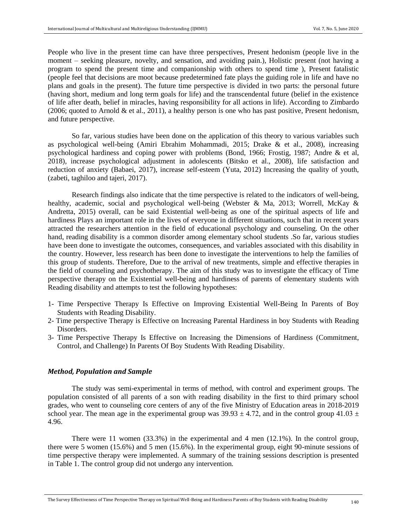People who live in the present time can have three perspectives, Present hedonism (people live in the moment – seeking pleasure, novelty, and sensation, and avoiding pain.), Holistic present (not having a program to spend the present time and companionship with others to spend time ), Present fatalistic (people feel that decisions are moot because predetermined fate plays the guiding role in life and have no plans and goals in the present). The future time perspective is divided in two parts: the personal future (having short, medium and long term goals for life) and the transcendental future (belief in the existence of life after death, belief in miracles, having responsibility for all actions in life). According to Zimbardo (2006; quoted to Arnold & et al., 2011), a healthy person is one who has past positive, Present hedonism, and future perspective.

So far, various studies have been done on the application of this theory to various variables such as psychological well-being (Amiri Ebrahim Mohammadi, 2015; Drake & et al., 2008), increasing psychological hardiness and coping power with problems (Bond, 1966; Frostig, 1987; Andre & et al, 2018), increase psychological adjustment in adolescents (Bitsko et al., 2008), life satisfaction and reduction of anxiety (Babaei, 2017), increase self-esteem (Yuta, 2012) Increasing the quality of youth, (zabeti, taghiloo and tajeri, 2017).

Research findings also indicate that the time perspective is related to the indicators of well-being, healthy, academic, social and psychological well-being (Webster & Ma, 2013; Worrell, McKay & Andretta, 2015) overall, can be said Existential well-being as one of the spiritual aspects of life and hardiness Plays an important role in the lives of everyone in different situations, such that in recent years attracted the researchers attention in the field of educational psychology and counseling. On the other hand, reading disability is a common disorder among elementary school students .So far, various studies have been done to investigate the outcomes, consequences, and variables associated with this disability in the country. However, less research has been done to investigate the interventions to help the families of this group of students. Therefore, Due to the arrival of new treatments, simple and effective therapies in the field of counseling and psychotherapy. The aim of this study was to investigate the efficacy of Time perspective therapy on the Existential well-being and hardiness of parents of elementary students with Reading disability and attempts to test the following hypotheses:

- 1- Time Perspective Therapy Is Effective on Improving Existential Well-Being In Parents of Boy Students with Reading Disability.
- 2- Time perspective Therapy is Effective on Increasing Parental Hardiness in boy Students with Reading Disorders.
- 3- Time Perspective Therapy Is Effective on Increasing the Dimensions of Hardiness (Commitment, Control, and Challenge) In Parents Of Boy Students With Reading Disability.

## *Method, Population and Sample*

The study was semi-experimental in terms of method, with control and experiment groups. The population consisted of all parents of a son with reading disability in the first to third primary school grades, who went to counseling core centers of any of the five Ministry of Education areas in 2018-2019 school year. The mean age in the experimental group was  $39.93 \pm 4.72$ , and in the control group  $41.03 \pm 1.03$ 4.96.

There were 11 women (33.3%) in the experimental and 4 men (12.1%). In the control group, there were 5 women (15.6%) and 5 men (15.6%). In the experimental group, eight 90-minute sessions of time perspective therapy were implemented. A summary of the training sessions description is presented in Table 1. The control group did not undergo any intervention.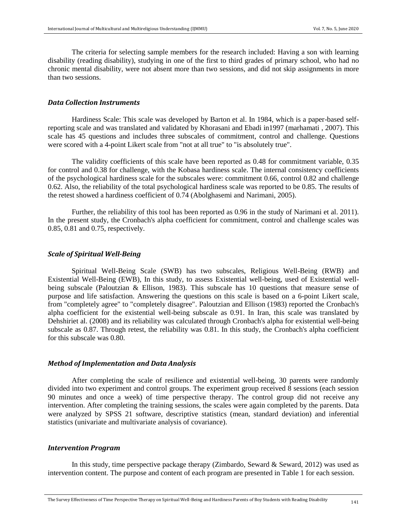The criteria for selecting sample members for the research included: Having a son with learning disability (reading disability), studying in one of the first to third grades of primary school, who had no chronic mental disability, were not absent more than two sessions, and did not skip assignments in more than two sessions.

# *Data Collection Instruments*

Hardiness Scale: This scale was developed by Barton et al. In 1984, which is a paper-based selfreporting scale and was translated and validated by Khorasani and Ebadi in1997 (marhamati , 2007). This scale has 45 questions and includes three subscales of commitment, control and challenge. Questions were scored with a 4-point Likert scale from "not at all true" to "is absolutely true".

The validity coefficients of this scale have been reported as 0.48 for commitment variable, 0.35 for control and 0.38 for challenge, with the Kobasa hardiness scale. The internal consistency coefficients of the psychological hardiness scale for the subscales were: commitment 0.66, control 0.82 and challenge 0.62. Also, the reliability of the total psychological hardiness scale was reported to be 0.85. The results of the retest showed a hardiness coefficient of 0.74 (Abolghasemi and Narimani, 2005).

Further, the reliability of this tool has been reported as 0.96 in the study of Narimani et al. 2011). In the present study, the Cronbach's alpha coefficient for commitment, control and challenge scales was 0.85, 0.81 and 0.75, respectively.

#### *Scale of Spiritual Well-Being*

 Spiritual Well-Being Scale (SWB) has two subscales, Religious Well-Being (RWB) and Existential Well-Being (EWB), In this study, to assess Existential well-being, used of Existential wellbeing subscale (Paloutzian & Ellison, 1983). This subscale has 10 questions that measure sense of purpose and life satisfaction. Answering the questions on this scale is based on a 6-point Likert scale, from "completely agree" to "completely disagree". Paloutzian and Ellison (1983) reported the Cronbach's alpha coefficient for the existential well-being subscale as 0.91. In Iran, this scale was translated by Dehshiriet al. (2008) and its reliability was calculated through Cronbach's alpha for existential well-being subscale as 0.87. Through retest, the reliability was 0.81. In this study, the Cronbach's alpha coefficient for this subscale was 0.80.

#### *Method of Implementation and Data Analysis*

After completing the scale of resilience and existential well-being, 30 parents were randomly divided into two experiment and control groups. The experiment group received 8 sessions (each session 90 minutes and once a week) of time perspective therapy. The control group did not receive any intervention. After completing the training sessions, the scales were again completed by the parents. Data were analyzed by SPSS 21 software, descriptive statistics (mean, standard deviation) and inferential statistics (univariate and multivariate analysis of covariance).

#### *Intervention Program*

In this study, time perspective package therapy (Zimbardo, Seward & Seward, 2012) was used as intervention content. The purpose and content of each program are presented in Table 1 for each session.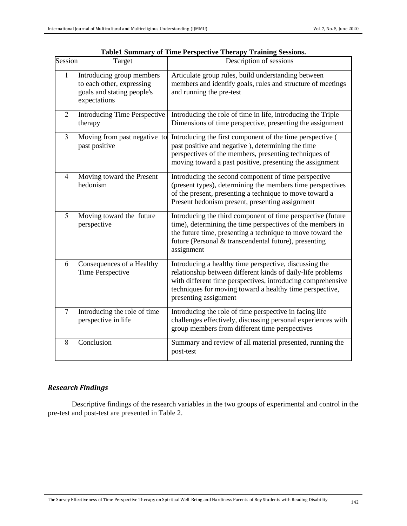| Session | Target                                                                                               | Description of sessions                                                                                                                                                                                                                                                   |
|---------|------------------------------------------------------------------------------------------------------|---------------------------------------------------------------------------------------------------------------------------------------------------------------------------------------------------------------------------------------------------------------------------|
| 1       | Introducing group members<br>to each other, expressing<br>goals and stating people's<br>expectations | Articulate group rules, build understanding between<br>members and identify goals, rules and structure of meetings<br>and running the pre-test                                                                                                                            |
| 2       | <b>Introducing Time Perspective</b><br>therapy                                                       | Introducing the role of time in life, introducing the Triple<br>Dimensions of time perspective, presenting the assignment                                                                                                                                                 |
| 3       | Moving from past negative to<br>past positive                                                        | Introducing the first component of the time perspective (<br>past positive and negative), determining the time<br>perspectives of the members, presenting techniques of<br>moving toward a past positive, presenting the assignment                                       |
| 4       | Moving toward the Present<br>hedonism                                                                | Introducing the second component of time perspective<br>(present types), determining the members time perspectives<br>of the present, presenting a technique to move toward a<br>Present hedonism present, presenting assignment                                          |
| 5       | Moving toward the future<br>perspective                                                              | Introducing the third component of time perspective (future<br>time), determining the time perspectives of the members in<br>the future time, presenting a technique to move toward the<br>future (Personal & transcendental future), presenting<br>assignment            |
| 6       | Consequences of a Healthy<br><b>Time Perspective</b>                                                 | Introducing a healthy time perspective, discussing the<br>relationship between different kinds of daily-life problems<br>with different time perspectives, introducing comprehensive<br>techniques for moving toward a healthy time perspective,<br>presenting assignment |
| $\tau$  | Introducing the role of time<br>perspective in life                                                  | Introducing the role of time perspective in facing life<br>challenges effectively, discussing personal experiences with<br>group members from different time perspectives                                                                                                 |
| 8       | Conclusion                                                                                           | Summary and review of all material presented, running the<br>post-test                                                                                                                                                                                                    |

|  | Table1 Summary of Time Perspective Therapy Training Sessions. |  |  |
|--|---------------------------------------------------------------|--|--|
|  |                                                               |  |  |

# *Research Findings*

Descriptive findings of the research variables in the two groups of experimental and control in the pre-test and post-test are presented in Table 2.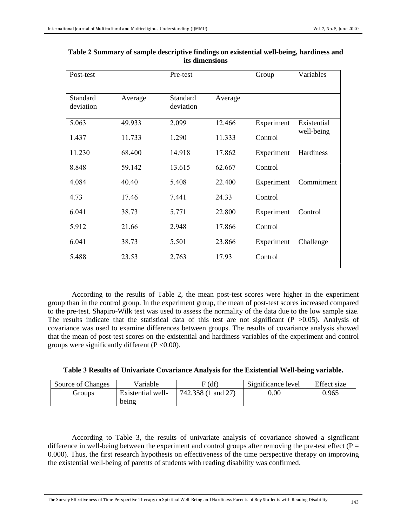| Post-test             |         | Pre-test              |         |            | Variables   |
|-----------------------|---------|-----------------------|---------|------------|-------------|
| Standard<br>deviation | Average | Standard<br>deviation | Average |            |             |
| 5.063                 | 49.933  | 2.099                 | 12.466  | Experiment | Existential |
| 1.437                 | 11.733  | 1.290                 | 11.333  | Control    | well-being  |
| 11.230                | 68.400  | 14.918                | 17.862  | Experiment | Hardiness   |
| 8.848                 | 59.142  | 13.615                | 62.667  | Control    |             |
| 4.084                 | 40.40   | 5.408                 | 22.400  | Experiment | Commitment  |
| 4.73                  | 17.46   | 7.441                 | 24.33   | Control    |             |
| 6.041                 | 38.73   | 5.771                 | 22.800  | Experiment | Control     |
| 5.912                 | 21.66   | 2.948                 | 17.866  | Control    |             |
| 6.041                 | 38.73   | 5.501                 | 23.866  | Experiment | Challenge   |
| 5.488                 | 23.53   | 2.763                 | 17.93   | Control    |             |

**Table 2 Summary of sample descriptive findings on existential well-being, hardiness and its dimensions**

According to the results of Table 2, the mean post-test scores were higher in the experiment group than in the control group. In the experiment group, the mean of post-test scores increased compared to the pre-test. Shapiro-Wilk test was used to assess the normality of the data due to the low sample size. The results indicate that the statistical data of this test are not significant ( $P > 0.05$ ). Analysis of covariance was used to examine differences between groups. The results of covariance analysis showed that the mean of post-test scores on the existential and hardiness variables of the experiment and control groups were significantly different  $(P < 0.00)$ .

| Table 3 Results of Univariate Covariance Analysis for the Existential Well-being variable. |  |  |
|--------------------------------------------------------------------------------------------|--|--|
|                                                                                            |  |  |

| Source of Changes | Variable          | (df)               | Significance level | Effect size |
|-------------------|-------------------|--------------------|--------------------|-------------|
| Groups            | Existential well- | 742.358 (1 and 27) | $0.00\,$           | 0.965       |
|                   | being             |                    |                    |             |

According to Table 3, the results of univariate analysis of covariance showed a significant difference in well-being between the experiment and control groups after removing the pre-test effect ( $P =$ 0.000). Thus, the first research hypothesis on effectiveness of the time perspective therapy on improving the existential well-being of parents of students with reading disability was confirmed.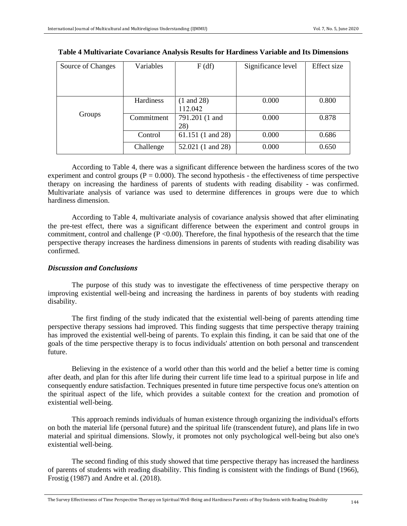| Source of Changes | Variables        | F(df)                 | Significance level | Effect size |
|-------------------|------------------|-----------------------|--------------------|-------------|
|                   |                  |                       |                    |             |
|                   |                  |                       |                    |             |
|                   |                  |                       |                    |             |
|                   | <b>Hardiness</b> | $(1 \text{ and } 28)$ | 0.000              | 0.800       |
|                   |                  | 112.042               |                    |             |
| Groups            | Commitment       | 791.201 (1 and        | 0.000              | 0.878       |
|                   |                  | 28)                   |                    |             |
|                   | Control          | 61.151 (1 and 28)     | 0.000              | 0.686       |
|                   | Challenge        | 52.021 (1 and 28)     | 0.000              | 0.650       |

#### **Table 4 Multivariate Covariance Analysis Results for Hardiness Variable and Its Dimensions**

According to Table 4, there was a significant difference between the hardiness scores of the two experiment and control groups ( $P = 0.000$ ). The second hypothesis - the effectiveness of time perspective therapy on increasing the hardiness of parents of students with reading disability - was confirmed. Multivariate analysis of variance was used to determine differences in groups were due to which hardiness dimension.

According to Table 4, multivariate analysis of covariance analysis showed that after eliminating the pre-test effect, there was a significant difference between the experiment and control groups in commitment, control and challenge  $(P < 0.00)$ . Therefore, the final hypothesis of the research that the time perspective therapy increases the hardiness dimensions in parents of students with reading disability was confirmed.

# *Discussion and Conclusions*

The purpose of this study was to investigate the effectiveness of time perspective therapy on improving existential well-being and increasing the hardiness in parents of boy students with reading disability.

The first finding of the study indicated that the existential well-being of parents attending time perspective therapy sessions had improved. This finding suggests that time perspective therapy training has improved the existential well-being of parents. To explain this finding, it can be said that one of the goals of the time perspective therapy is to focus individuals' attention on both personal and transcendent future.

Believing in the existence of a world other than this world and the belief a better time is coming after death, and plan for this after life during their current life time lead to a spiritual purpose in life and consequently endure satisfaction. Techniques presented in future time perspective focus one's attention on the spiritual aspect of the life, which provides a suitable context for the creation and promotion of existential well-being.

This approach reminds individuals of human existence through organizing the individual's efforts on both the material life (personal future) and the spiritual life (transcendent future), and plans life in two material and spiritual dimensions. Slowly, it promotes not only psychological well-being but also one's existential well-being.

The second finding of this study showed that time perspective therapy has increased the hardiness of parents of students with reading disability. This finding is consistent with the findings of Bund (1966), Frostig (1987) and Andre et al. (2018).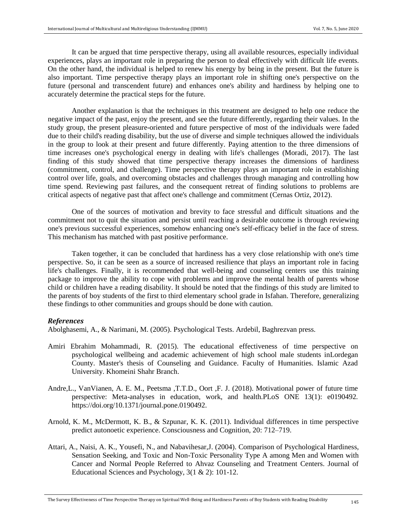It can be argued that time perspective therapy, using all available resources, especially individual experiences, plays an important role in preparing the person to deal effectively with difficult life events. On the other hand, the individual is helped to renew his energy by being in the present. But the future is also important. Time perspective therapy plays an important role in shifting one's perspective on the future (personal and transcendent future) and enhances one's ability and hardiness by helping one to accurately determine the practical steps for the future.

Another explanation is that the techniques in this treatment are designed to help one reduce the negative impact of the past, enjoy the present, and see the future differently, regarding their values. In the study group, the present pleasure-oriented and future perspective of most of the individuals were faded due to their child's reading disability, but the use of diverse and simple techniques allowed the individuals in the group to look at their present and future differently. Paying attention to the three dimensions of time increases one's psychological energy in dealing with life's challenges (Moradi, 2017). The last finding of this study showed that time perspective therapy increases the dimensions of hardiness (commitment, control, and challenge). Time perspective therapy plays an important role in establishing control over life, goals, and overcoming obstacles and challenges through managing and controlling how time spend. Reviewing past failures, and the consequent retreat of finding solutions to problems are critical aspects of negative past that affect one's challenge and commitment (Cernas Ortiz, 2012).

One of the sources of motivation and brevity to face stressful and difficult situations and the commitment not to quit the situation and persist until reaching a desirable outcome is through reviewing one's previous successful experiences, somehow enhancing one's self-efficacy belief in the face of stress. This mechanism has matched with past positive performance.

Taken together, it can be concluded that hardiness has a very close relationship with one's time perspective. So, it can be seen as a source of increased resilience that plays an important role in facing life's challenges. Finally, it is recommended that well-being and counseling centers use this training package to improve the ability to cope with problems and improve the mental health of parents whose child or children have a reading disability. It should be noted that the findings of this study are limited to the parents of boy students of the first to third elementary school grade in Isfahan. Therefore, generalizing these findings to other communities and groups should be done with caution.

#### *References*

Abolghasemi, A., & Narimani, M. (2005). Psychological Tests. Ardebil, Baghrezvan press.

- Amiri Ebrahim Mohammadi, R. (2015). The educational effectiveness of time perspective on psychological wellbeing and academic achievement of high school male students inLordegan County. Master's thesis of Counseling and Guidance. Faculty of Humanities. Islamic Azad University. Khomeini Shahr Branch.
- Andre,L., VanVianen, A. E. M., Peetsma ,T.T.D., Oort ,F. J. (2018). Motivational power of future time perspective: Meta-analyses in education, work, and health.PLoS ONE 13(1): e0190492. [https://doi.org/10.1371/journal.pone.0190492.](https://doi.org/10.1371/journal.pone.0190492)
- Arnold, K. M., McDermott, K. B., & Szpunar, K. K. (2011). Individual differences in time perspective predict autonoetic experience. Consciousness and Cognition, 20: 712–719.
- Attari, A., Naisi, A. K., Yousefi, N., and Nabavihesar,J. (2004). Comparison of Psychological Hardiness, Sensation Seeking, and Toxic and Non-Toxic Personality Type A among Men and Women with Cancer and Normal People Referred to Ahvaz Counseling and Treatment Centers. Journal of Educational Sciences and Psychology, 3(1 & 2): 101-12.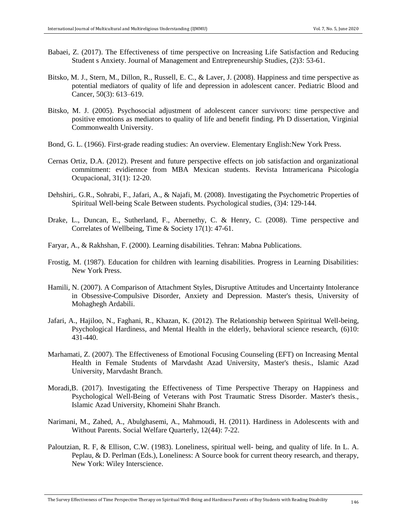- Babaei, Z. (2017). The Effectiveness of time perspective on Increasing Life Satisfaction and Reducing Student s Anxiety. Journal of Management and Entrepreneurship Studies, (2)3: 53-61.
- Bitsko, M. J., Stern, M., Dillon, R., Russell, E. C., & Laver, J. (2008). Happiness and time perspective as potential mediators of quality of life and depression in adolescent cancer. Pediatric Blood and Cancer, 50(3): 613–619.
- Bitsko, M. J. (2005). Psychosocial adjustment of adolescent cancer survivors: time perspective and positive emotions as mediators to quality of life and benefit finding. Ph D dissertation, Virginial Commonwealth University.
- Bond, G. L. (1966). First-grade reading studies: An overview. Elementary English:New York Press.
- Cernas Ortiz, D.A. (2012). Present and future perspective effects on job satisfaction and organizational commitment: evidiennce from MBA Mexican students. Revista Intramericana Psicología Ocupacional, 31(1): 12-20.
- Dehshiri,. G.R., Sohrabi, F., Jafari, A., & Najafi, M. (2008). Investigating the Psychometric Properties of Spiritual Well-being Scale Between students. Psychological studies, (3)4: 129-144.
- Drake, L., Duncan, E., Sutherland, F., Abernethy, C. & Henry, C. (2008). Time perspective and Correlates of Wellbeing, Time & Society 17(1): 47-61.
- Faryar, A., & Rakhshan, F. (2000). Learning disabilities. Tehran: Mabna Publications.
- Frostig, M. (1987). Education for children with learning disabilities. Progress in Learning Disabilities: New York Press.
- Hamili, N. (2007). A Comparison of Attachment Styles, Disruptive Attitudes and Uncertainty Intolerance in Obsessive-Compulsive Disorder, Anxiety and Depression. Master's thesis, University of Mohaghegh Ardabili.
- Jafari, A., Hajiloo, N., Faghani, R., Khazan, K. (2012). The Relationship between Spiritual Well-being, Psychological Hardiness, and Mental Health in the elderly, behavioral science research, (6)10: 431-440.
- Marhamati, Z. (2007). The Effectiveness of Emotional Focusing Counseling (EFT) on Increasing Mental Health in Female Students of Marvdasht Azad University, Master's thesis., Islamic Azad University, Marvdasht Branch.
- Moradi,B. (2017). Investigating the Effectiveness of Time Perspective Therapy on Happiness and Psychological Well-Being of Veterans with Post Traumatic Stress Disorder. Master's thesis., Islamic Azad University, Khomeini Shahr Branch.
- Narimani, M., Zahed, A., Abulghasemi, A., Mahmoudi, H. (2011). Hardiness in Adolescents with and Without Parents. Social Welfare Quarterly, 12(44): 7-22.
- Paloutzian, R. F, & Ellison, C.W. (1983). Loneliness, spiritual well- being, and quality of life. In L. A. Peplau, & D. Perlman (Eds.), Loneliness: A Source book for current theory research, and therapy, New York: Wiley Interscience.